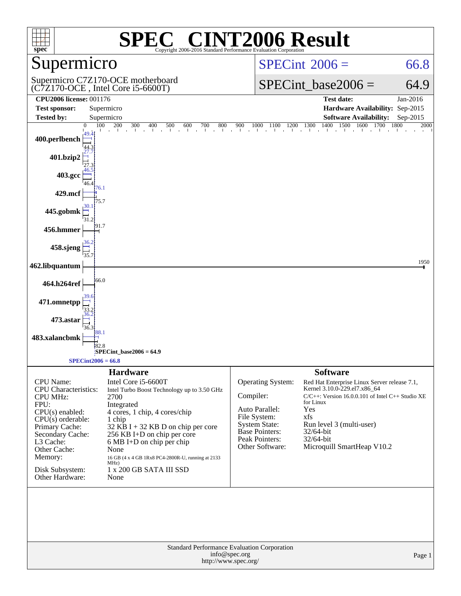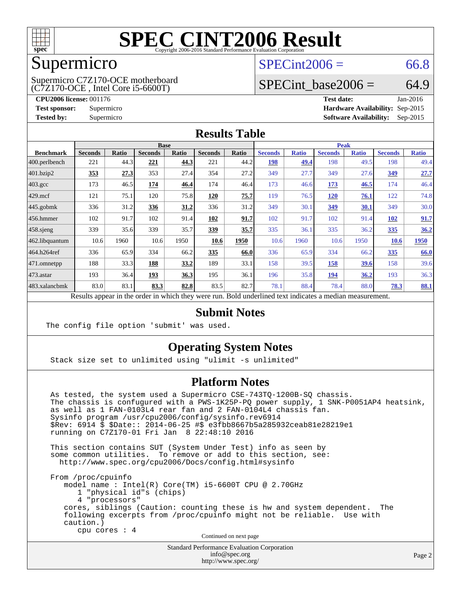

#### Supermicro

(C7Z170-OCE , Intel Core i5-6600T) Supermicro C7Z170-OCE motherboard  $SPECint2006 = 66.8$  $SPECint2006 = 66.8$ 

### SPECint base2006 =  $64.9$

**[CPU2006 license:](http://www.spec.org/auto/cpu2006/Docs/result-fields.html#CPU2006license)** 001176 **[Test date:](http://www.spec.org/auto/cpu2006/Docs/result-fields.html#Testdate)** Jan-2016 **[Test sponsor:](http://www.spec.org/auto/cpu2006/Docs/result-fields.html#Testsponsor)** Supermicro **[Hardware Availability:](http://www.spec.org/auto/cpu2006/Docs/result-fields.html#HardwareAvailability)** Sep-2015 **[Tested by:](http://www.spec.org/auto/cpu2006/Docs/result-fields.html#Testedby)** Supermicro **Supermicro [Software Availability:](http://www.spec.org/auto/cpu2006/Docs/result-fields.html#SoftwareAvailability)** Sep-2015

#### **[Results Table](http://www.spec.org/auto/cpu2006/Docs/result-fields.html#ResultsTable)**

| <b>Base</b>    |       |                |                                      |                | <b>Peak</b>                                          |                |                                      |                |                                              |                |              |
|----------------|-------|----------------|--------------------------------------|----------------|------------------------------------------------------|----------------|--------------------------------------|----------------|----------------------------------------------|----------------|--------------|
| <b>Seconds</b> | Ratio | <b>Seconds</b> | Ratio                                | <b>Seconds</b> | Ratio                                                | <b>Seconds</b> | <b>Ratio</b>                         | <b>Seconds</b> | <b>Ratio</b>                                 | <b>Seconds</b> | <b>Ratio</b> |
| 221            | 44.3  | 221            | 44.3                                 | 221            |                                                      | 198            |                                      | 198            | 49.5                                         | 198            | 49.4         |
| 353            | 27.3  | 353            |                                      | 354            | 27.2                                                 | 349            | 27.7                                 | 349            | 27.6                                         | 349            | 27.7         |
| 173            |       | 174            | 46.4                                 | 174            |                                                      | 173            |                                      | 173            | 46.5                                         | 174            | 46.4         |
| 121            | 75.1  | 120            |                                      | 120            | 75.7                                                 | 119            |                                      | 120            | 76.1                                         | 122            | 74.8         |
| 336            |       | 336            |                                      | 336            |                                                      | 349            | 30.1                                 | 349            | 30.1                                         | 349            | 30.0         |
| 102            | 91.7  | 102            |                                      | 102            |                                                      | 102            |                                      | 102            | 91.4                                         | <b>102</b>     | 91.7         |
| 339            |       | 339            |                                      | <u>339</u>     | 35.7                                                 | 335            | 36.1                                 | 335            | 36.2                                         | 335            | 36.2         |
| 10.6           | 1960  | 10.6           | 1950                                 | 10.6           | 1950                                                 | 10.6           | 1960                                 | 10.6           | 1950                                         | 10.6           | 1950         |
| 336            |       | 334            |                                      | 335            | 66.0                                                 | 336            |                                      | 334            | 66.2                                         | 335            | 66.0         |
| 188            | 33.3  | 188            | 33.2                                 | 189            | 33.1                                                 | 158            |                                      | 158            | 39.6                                         | 158            | 39.6         |
| 193            |       | <u>193</u>     | 36.3                                 | 195            | 36.1                                                 | 196            |                                      | <u>194</u>     | 36.2                                         | 193            | 36.3         |
| 83.0           | 83.1  | 83.3           |                                      | 83.5           |                                                      | 78.1           |                                      | 78.4           |                                              | 78.3           | 88.1         |
|                |       |                | 46.5<br>31.2<br>35.6<br>65.9<br>36.4 |                | 27.4<br>75.8<br>31.2<br>91.4<br>35.7<br>66.2<br>82.8 |                | 44.2<br>46.4<br>31.2<br>91.7<br>82.7 | 49.4<br>91.7   | 46.6<br>76.5<br>65.9<br>39.5<br>35.8<br>88.4 |                | 88.0         |

Results appear in the [order in which they were run.](http://www.spec.org/auto/cpu2006/Docs/result-fields.html#RunOrder) Bold underlined text [indicates a median measurement.](http://www.spec.org/auto/cpu2006/Docs/result-fields.html#Median)

#### **[Submit Notes](http://www.spec.org/auto/cpu2006/Docs/result-fields.html#SubmitNotes)**

The config file option 'submit' was used.

#### **[Operating System Notes](http://www.spec.org/auto/cpu2006/Docs/result-fields.html#OperatingSystemNotes)**

Stack size set to unlimited using "ulimit -s unlimited"

#### **[Platform Notes](http://www.spec.org/auto/cpu2006/Docs/result-fields.html#PlatformNotes)**

 As tested, the system used a Supermicro CSE-743TQ-1200B-SQ chassis. The chassis is confugured with a PWS-1K25P-PQ power supply, 1 SNK-P0051AP4 heatsink, as well as 1 FAN-0103L4 rear fan and 2 FAN-0104L4 chassis fan. Sysinfo program /usr/cpu2006/config/sysinfo.rev6914 \$Rev: 6914 \$ \$Date:: 2014-06-25 #\$ e3fbb8667b5a285932ceab81e28219e1 running on C7Z170-01 Fri Jan 8 22:48:10 2016

 This section contains SUT (System Under Test) info as seen by some common utilities. To remove or add to this section, see: <http://www.spec.org/cpu2006/Docs/config.html#sysinfo>

 From /proc/cpuinfo model name : Intel(R) Core(TM) i5-6600T CPU @ 2.70GHz 1 "physical id"s (chips) 4 "processors" cores, siblings (Caution: counting these is hw and system dependent. The following excerpts from /proc/cpuinfo might not be reliable. Use with caution.) cpu cores : 4

Continued on next page

Standard Performance Evaluation Corporation [info@spec.org](mailto:info@spec.org) <http://www.spec.org/>

Page 2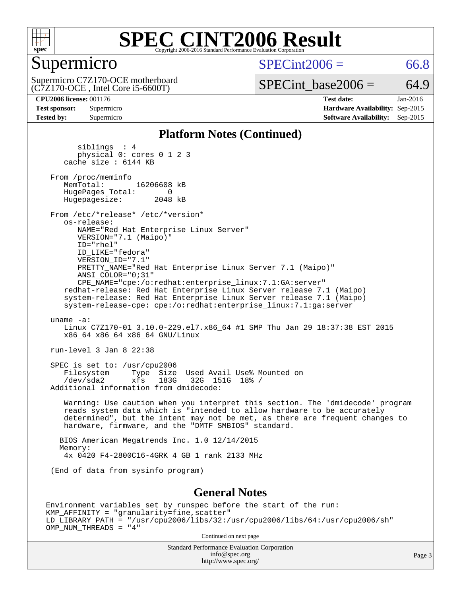

### Supermicro

 $SPECint2006 = 66.8$  $SPECint2006 = 66.8$ 

(C7Z170-OCE , Intel Core i5-6600T) Supermicro C7Z170-OCE motherboard  $SPECTnt\_base2006 = 64.9$ 

**[CPU2006 license:](http://www.spec.org/auto/cpu2006/Docs/result-fields.html#CPU2006license)** 001176 **[Test date:](http://www.spec.org/auto/cpu2006/Docs/result-fields.html#Testdate)** Jan-2016 **[Test sponsor:](http://www.spec.org/auto/cpu2006/Docs/result-fields.html#Testsponsor)** Supermicro **[Hardware Availability:](http://www.spec.org/auto/cpu2006/Docs/result-fields.html#HardwareAvailability)** Sep-2015 **[Tested by:](http://www.spec.org/auto/cpu2006/Docs/result-fields.html#Testedby)** Supermicro **[Software Availability:](http://www.spec.org/auto/cpu2006/Docs/result-fields.html#SoftwareAvailability)** Sep-2015

#### **[Platform Notes \(Continued\)](http://www.spec.org/auto/cpu2006/Docs/result-fields.html#PlatformNotes)**

 siblings : 4 physical 0: cores 0 1 2 3 cache size : 6144 KB From /proc/meminfo<br>MemTotal: 16206608 kB HugePages\_Total: 0<br>Hugepagesize: 2048 kB Hugepagesize: From /etc/\*release\* /etc/\*version\* os-release: NAME="Red Hat Enterprise Linux Server" VERSION="7.1 (Maipo)" ID="rhel" ID\_LIKE="fedora" VERSION\_ID="7.1" PRETTY\_NAME="Red Hat Enterprise Linux Server 7.1 (Maipo)" ANSI\_COLOR="0;31" CPE\_NAME="cpe:/o:redhat:enterprise\_linux:7.1:GA:server" redhat-release: Red Hat Enterprise Linux Server release 7.1 (Maipo) system-release: Red Hat Enterprise Linux Server release 7.1 (Maipo) system-release-cpe: cpe:/o:redhat:enterprise\_linux:7.1:ga:server uname -a: Linux C7Z170-01 3.10.0-229.el7.x86\_64 #1 SMP Thu Jan 29 18:37:38 EST 2015 x86\_64 x86\_64 x86\_64 GNU/Linux run-level 3 Jan 8 22:38 SPEC is set to: /usr/cpu2006 Filesystem Type Size Used Avail Use% Mounted on<br>
/dev/sda2 xfs 183G 32G 151G 18% / /dev/sda2 xfs 183G 32G 151G 18% / Additional information from dmidecode: Warning: Use caution when you interpret this section. The 'dmidecode' program reads system data which is "intended to allow hardware to be accurately determined", but the intent may not be met, as there are frequent changes to hardware, firmware, and the "DMTF SMBIOS" standard. BIOS American Megatrends Inc. 1.0 12/14/2015 Memory: 4x 0420 F4-2800C16-4GRK 4 GB 1 rank 2133 MHz (End of data from sysinfo program) **[General Notes](http://www.spec.org/auto/cpu2006/Docs/result-fields.html#GeneralNotes)**

Environment variables set by runspec before the start of the run: KMP\_AFFINITY = "granularity=fine,scatter" LD\_LIBRARY\_PATH = "/usr/cpu2006/libs/32:/usr/cpu2006/libs/64:/usr/cpu2006/sh" OMP\_NUM\_THREADS = "4"

Continued on next page

Standard Performance Evaluation Corporation [info@spec.org](mailto:info@spec.org) <http://www.spec.org/>

Page 3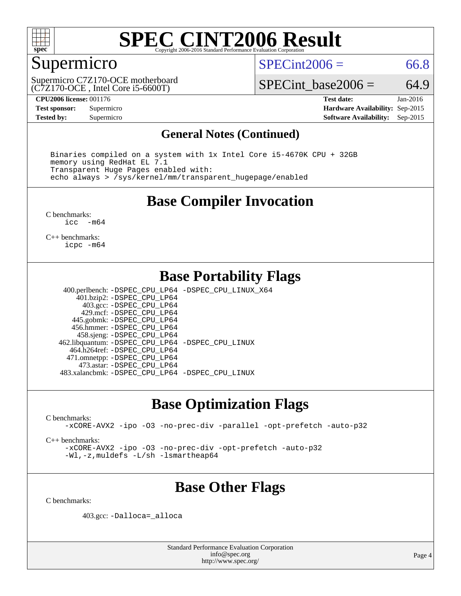

### Supermicro

 $SPECint2006 = 66.8$  $SPECint2006 = 66.8$ 

(C7Z170-OCE , Intel Core i5-6600T) Supermicro C7Z170-OCE motherboard SPECint base2006 =  $64.9$ 

**[CPU2006 license:](http://www.spec.org/auto/cpu2006/Docs/result-fields.html#CPU2006license)** 001176 **[Test date:](http://www.spec.org/auto/cpu2006/Docs/result-fields.html#Testdate)** Jan-2016 **[Test sponsor:](http://www.spec.org/auto/cpu2006/Docs/result-fields.html#Testsponsor)** Supermicro **[Hardware Availability:](http://www.spec.org/auto/cpu2006/Docs/result-fields.html#HardwareAvailability)** Sep-2015 **[Tested by:](http://www.spec.org/auto/cpu2006/Docs/result-fields.html#Testedby)** Supermicro **Supermicro [Software Availability:](http://www.spec.org/auto/cpu2006/Docs/result-fields.html#SoftwareAvailability)** Sep-2015

#### **[General Notes \(Continued\)](http://www.spec.org/auto/cpu2006/Docs/result-fields.html#GeneralNotes)**

 Binaries compiled on a system with 1x Intel Core i5-4670K CPU + 32GB memory using RedHat EL 7.1 Transparent Huge Pages enabled with: echo always > /sys/kernel/mm/transparent\_hugepage/enabled

#### **[Base Compiler Invocation](http://www.spec.org/auto/cpu2006/Docs/result-fields.html#BaseCompilerInvocation)**

[C benchmarks](http://www.spec.org/auto/cpu2006/Docs/result-fields.html#Cbenchmarks):<br> $\frac{1}{2}$ cc  $-m64$ 

[C++ benchmarks:](http://www.spec.org/auto/cpu2006/Docs/result-fields.html#CXXbenchmarks) [icpc -m64](http://www.spec.org/cpu2006/results/res2016q1/cpu2006-20160111-38640.flags.html#user_CXXbase_intel_icpc_64bit_fc66a5337ce925472a5c54ad6a0de310)

#### **[Base Portability Flags](http://www.spec.org/auto/cpu2006/Docs/result-fields.html#BasePortabilityFlags)**

 400.perlbench: [-DSPEC\\_CPU\\_LP64](http://www.spec.org/cpu2006/results/res2016q1/cpu2006-20160111-38640.flags.html#b400.perlbench_basePORTABILITY_DSPEC_CPU_LP64) [-DSPEC\\_CPU\\_LINUX\\_X64](http://www.spec.org/cpu2006/results/res2016q1/cpu2006-20160111-38640.flags.html#b400.perlbench_baseCPORTABILITY_DSPEC_CPU_LINUX_X64) 401.bzip2: [-DSPEC\\_CPU\\_LP64](http://www.spec.org/cpu2006/results/res2016q1/cpu2006-20160111-38640.flags.html#suite_basePORTABILITY401_bzip2_DSPEC_CPU_LP64) 403.gcc: [-DSPEC\\_CPU\\_LP64](http://www.spec.org/cpu2006/results/res2016q1/cpu2006-20160111-38640.flags.html#suite_basePORTABILITY403_gcc_DSPEC_CPU_LP64) 429.mcf: [-DSPEC\\_CPU\\_LP64](http://www.spec.org/cpu2006/results/res2016q1/cpu2006-20160111-38640.flags.html#suite_basePORTABILITY429_mcf_DSPEC_CPU_LP64) 445.gobmk: [-DSPEC\\_CPU\\_LP64](http://www.spec.org/cpu2006/results/res2016q1/cpu2006-20160111-38640.flags.html#suite_basePORTABILITY445_gobmk_DSPEC_CPU_LP64) 456.hmmer: [-DSPEC\\_CPU\\_LP64](http://www.spec.org/cpu2006/results/res2016q1/cpu2006-20160111-38640.flags.html#suite_basePORTABILITY456_hmmer_DSPEC_CPU_LP64) 458.sjeng: [-DSPEC\\_CPU\\_LP64](http://www.spec.org/cpu2006/results/res2016q1/cpu2006-20160111-38640.flags.html#suite_basePORTABILITY458_sjeng_DSPEC_CPU_LP64) 462.libquantum: [-DSPEC\\_CPU\\_LP64](http://www.spec.org/cpu2006/results/res2016q1/cpu2006-20160111-38640.flags.html#suite_basePORTABILITY462_libquantum_DSPEC_CPU_LP64) [-DSPEC\\_CPU\\_LINUX](http://www.spec.org/cpu2006/results/res2016q1/cpu2006-20160111-38640.flags.html#b462.libquantum_baseCPORTABILITY_DSPEC_CPU_LINUX) 464.h264ref: [-DSPEC\\_CPU\\_LP64](http://www.spec.org/cpu2006/results/res2016q1/cpu2006-20160111-38640.flags.html#suite_basePORTABILITY464_h264ref_DSPEC_CPU_LP64) 471.omnetpp: [-DSPEC\\_CPU\\_LP64](http://www.spec.org/cpu2006/results/res2016q1/cpu2006-20160111-38640.flags.html#suite_basePORTABILITY471_omnetpp_DSPEC_CPU_LP64) 473.astar: [-DSPEC\\_CPU\\_LP64](http://www.spec.org/cpu2006/results/res2016q1/cpu2006-20160111-38640.flags.html#suite_basePORTABILITY473_astar_DSPEC_CPU_LP64) 483.xalancbmk: [-DSPEC\\_CPU\\_LP64](http://www.spec.org/cpu2006/results/res2016q1/cpu2006-20160111-38640.flags.html#suite_basePORTABILITY483_xalancbmk_DSPEC_CPU_LP64) [-DSPEC\\_CPU\\_LINUX](http://www.spec.org/cpu2006/results/res2016q1/cpu2006-20160111-38640.flags.html#b483.xalancbmk_baseCXXPORTABILITY_DSPEC_CPU_LINUX)

### **[Base Optimization Flags](http://www.spec.org/auto/cpu2006/Docs/result-fields.html#BaseOptimizationFlags)**

[C benchmarks](http://www.spec.org/auto/cpu2006/Docs/result-fields.html#Cbenchmarks):

[-xCORE-AVX2](http://www.spec.org/cpu2006/results/res2016q1/cpu2006-20160111-38640.flags.html#user_CCbase_f-xAVX2_5f5fc0cbe2c9f62c816d3e45806c70d7) [-ipo](http://www.spec.org/cpu2006/results/res2016q1/cpu2006-20160111-38640.flags.html#user_CCbase_f-ipo) [-O3](http://www.spec.org/cpu2006/results/res2016q1/cpu2006-20160111-38640.flags.html#user_CCbase_f-O3) [-no-prec-div](http://www.spec.org/cpu2006/results/res2016q1/cpu2006-20160111-38640.flags.html#user_CCbase_f-no-prec-div) [-parallel](http://www.spec.org/cpu2006/results/res2016q1/cpu2006-20160111-38640.flags.html#user_CCbase_f-parallel) [-opt-prefetch](http://www.spec.org/cpu2006/results/res2016q1/cpu2006-20160111-38640.flags.html#user_CCbase_f-opt-prefetch) [-auto-p32](http://www.spec.org/cpu2006/results/res2016q1/cpu2006-20160111-38640.flags.html#user_CCbase_f-auto-p32)

[C++ benchmarks:](http://www.spec.org/auto/cpu2006/Docs/result-fields.html#CXXbenchmarks)

[-xCORE-AVX2](http://www.spec.org/cpu2006/results/res2016q1/cpu2006-20160111-38640.flags.html#user_CXXbase_f-xAVX2_5f5fc0cbe2c9f62c816d3e45806c70d7) [-ipo](http://www.spec.org/cpu2006/results/res2016q1/cpu2006-20160111-38640.flags.html#user_CXXbase_f-ipo) [-O3](http://www.spec.org/cpu2006/results/res2016q1/cpu2006-20160111-38640.flags.html#user_CXXbase_f-O3) [-no-prec-div](http://www.spec.org/cpu2006/results/res2016q1/cpu2006-20160111-38640.flags.html#user_CXXbase_f-no-prec-div) [-opt-prefetch](http://www.spec.org/cpu2006/results/res2016q1/cpu2006-20160111-38640.flags.html#user_CXXbase_f-opt-prefetch) [-auto-p32](http://www.spec.org/cpu2006/results/res2016q1/cpu2006-20160111-38640.flags.html#user_CXXbase_f-auto-p32) [-Wl,-z,muldefs](http://www.spec.org/cpu2006/results/res2016q1/cpu2006-20160111-38640.flags.html#user_CXXbase_link_force_multiple1_74079c344b956b9658436fd1b6dd3a8a) [-L/sh -lsmartheap64](http://www.spec.org/cpu2006/results/res2016q1/cpu2006-20160111-38640.flags.html#user_CXXbase_SmartHeap64_ed4ef857ce90951921efb0d91eb88472)

## **[Base Other Flags](http://www.spec.org/auto/cpu2006/Docs/result-fields.html#BaseOtherFlags)**

[C benchmarks](http://www.spec.org/auto/cpu2006/Docs/result-fields.html#Cbenchmarks):

403.gcc: [-Dalloca=\\_alloca](http://www.spec.org/cpu2006/results/res2016q1/cpu2006-20160111-38640.flags.html#b403.gcc_baseEXTRA_CFLAGS_Dalloca_be3056838c12de2578596ca5467af7f3)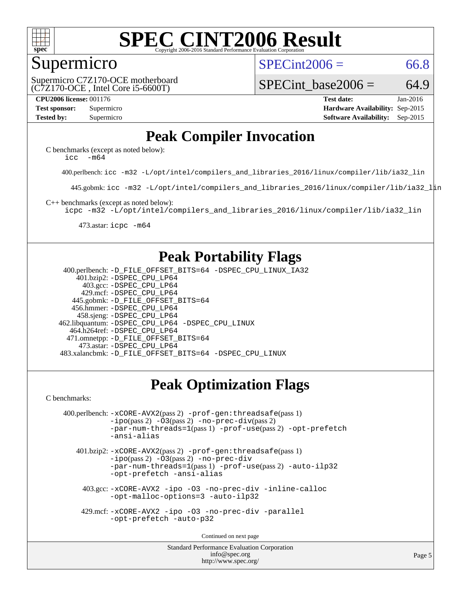

#### Supermicro

 $SPECint2006 = 66.8$  $SPECint2006 = 66.8$ 

(C7Z170-OCE , Intel Core i5-6600T) Supermicro C7Z170-OCE motherboard SPECint base2006 =  $64.9$ 

**[CPU2006 license:](http://www.spec.org/auto/cpu2006/Docs/result-fields.html#CPU2006license)** 001176 **[Test date:](http://www.spec.org/auto/cpu2006/Docs/result-fields.html#Testdate)** Jan-2016 **[Test sponsor:](http://www.spec.org/auto/cpu2006/Docs/result-fields.html#Testsponsor)** Supermicro **[Hardware Availability:](http://www.spec.org/auto/cpu2006/Docs/result-fields.html#HardwareAvailability)** Sep-2015 **[Tested by:](http://www.spec.org/auto/cpu2006/Docs/result-fields.html#Testedby)** Supermicro **Supermicro [Software Availability:](http://www.spec.org/auto/cpu2006/Docs/result-fields.html#SoftwareAvailability)** Sep-2015

## **[Peak Compiler Invocation](http://www.spec.org/auto/cpu2006/Docs/result-fields.html#PeakCompilerInvocation)**

[C benchmarks \(except as noted below\)](http://www.spec.org/auto/cpu2006/Docs/result-fields.html#Cbenchmarksexceptasnotedbelow): icc  $-m64$ 

400.perlbench: [icc -m32 -L/opt/intel/compilers\\_and\\_libraries\\_2016/linux/compiler/lib/ia32\\_lin](http://www.spec.org/cpu2006/results/res2016q1/cpu2006-20160111-38640.flags.html#user_peakCCLD400_perlbench_intel_icc_e10256ba5924b668798078a321b0cb3f)

445.gobmk: [icc -m32 -L/opt/intel/compilers\\_and\\_libraries\\_2016/linux/compiler/lib/ia32\\_lin](http://www.spec.org/cpu2006/results/res2016q1/cpu2006-20160111-38640.flags.html#user_peakCCLD445_gobmk_intel_icc_e10256ba5924b668798078a321b0cb3f)

[C++ benchmarks \(except as noted below\):](http://www.spec.org/auto/cpu2006/Docs/result-fields.html#CXXbenchmarksexceptasnotedbelow)

[icpc -m32 -L/opt/intel/compilers\\_and\\_libraries\\_2016/linux/compiler/lib/ia32\\_lin](http://www.spec.org/cpu2006/results/res2016q1/cpu2006-20160111-38640.flags.html#user_CXXpeak_intel_icpc_b4f50a394bdb4597aa5879c16bc3f5c5)

473.astar: [icpc -m64](http://www.spec.org/cpu2006/results/res2016q1/cpu2006-20160111-38640.flags.html#user_peakCXXLD473_astar_intel_icpc_64bit_fc66a5337ce925472a5c54ad6a0de310)

### **[Peak Portability Flags](http://www.spec.org/auto/cpu2006/Docs/result-fields.html#PeakPortabilityFlags)**

 400.perlbench: [-D\\_FILE\\_OFFSET\\_BITS=64](http://www.spec.org/cpu2006/results/res2016q1/cpu2006-20160111-38640.flags.html#user_peakPORTABILITY400_perlbench_file_offset_bits_64_438cf9856305ebd76870a2c6dc2689ab) [-DSPEC\\_CPU\\_LINUX\\_IA32](http://www.spec.org/cpu2006/results/res2016q1/cpu2006-20160111-38640.flags.html#b400.perlbench_peakCPORTABILITY_DSPEC_CPU_LINUX_IA32) 401.bzip2: [-DSPEC\\_CPU\\_LP64](http://www.spec.org/cpu2006/results/res2016q1/cpu2006-20160111-38640.flags.html#suite_peakPORTABILITY401_bzip2_DSPEC_CPU_LP64) 403.gcc: [-DSPEC\\_CPU\\_LP64](http://www.spec.org/cpu2006/results/res2016q1/cpu2006-20160111-38640.flags.html#suite_peakPORTABILITY403_gcc_DSPEC_CPU_LP64) 429.mcf: [-DSPEC\\_CPU\\_LP64](http://www.spec.org/cpu2006/results/res2016q1/cpu2006-20160111-38640.flags.html#suite_peakPORTABILITY429_mcf_DSPEC_CPU_LP64) 445.gobmk: [-D\\_FILE\\_OFFSET\\_BITS=64](http://www.spec.org/cpu2006/results/res2016q1/cpu2006-20160111-38640.flags.html#user_peakPORTABILITY445_gobmk_file_offset_bits_64_438cf9856305ebd76870a2c6dc2689ab) 456.hmmer: [-DSPEC\\_CPU\\_LP64](http://www.spec.org/cpu2006/results/res2016q1/cpu2006-20160111-38640.flags.html#suite_peakPORTABILITY456_hmmer_DSPEC_CPU_LP64) 458.sjeng: [-DSPEC\\_CPU\\_LP64](http://www.spec.org/cpu2006/results/res2016q1/cpu2006-20160111-38640.flags.html#suite_peakPORTABILITY458_sjeng_DSPEC_CPU_LP64) 462.libquantum: [-DSPEC\\_CPU\\_LP64](http://www.spec.org/cpu2006/results/res2016q1/cpu2006-20160111-38640.flags.html#suite_peakPORTABILITY462_libquantum_DSPEC_CPU_LP64) [-DSPEC\\_CPU\\_LINUX](http://www.spec.org/cpu2006/results/res2016q1/cpu2006-20160111-38640.flags.html#b462.libquantum_peakCPORTABILITY_DSPEC_CPU_LINUX) 464.h264ref: [-DSPEC\\_CPU\\_LP64](http://www.spec.org/cpu2006/results/res2016q1/cpu2006-20160111-38640.flags.html#suite_peakPORTABILITY464_h264ref_DSPEC_CPU_LP64) 471.omnetpp: [-D\\_FILE\\_OFFSET\\_BITS=64](http://www.spec.org/cpu2006/results/res2016q1/cpu2006-20160111-38640.flags.html#user_peakPORTABILITY471_omnetpp_file_offset_bits_64_438cf9856305ebd76870a2c6dc2689ab) 473.astar: [-DSPEC\\_CPU\\_LP64](http://www.spec.org/cpu2006/results/res2016q1/cpu2006-20160111-38640.flags.html#suite_peakPORTABILITY473_astar_DSPEC_CPU_LP64) 483.xalancbmk: [-D\\_FILE\\_OFFSET\\_BITS=64](http://www.spec.org/cpu2006/results/res2016q1/cpu2006-20160111-38640.flags.html#user_peakPORTABILITY483_xalancbmk_file_offset_bits_64_438cf9856305ebd76870a2c6dc2689ab) [-DSPEC\\_CPU\\_LINUX](http://www.spec.org/cpu2006/results/res2016q1/cpu2006-20160111-38640.flags.html#b483.xalancbmk_peakCXXPORTABILITY_DSPEC_CPU_LINUX)

## **[Peak Optimization Flags](http://www.spec.org/auto/cpu2006/Docs/result-fields.html#PeakOptimizationFlags)**

[C benchmarks](http://www.spec.org/auto/cpu2006/Docs/result-fields.html#Cbenchmarks):

```
 400.perlbench: -xCORE-AVX2(pass 2) -prof-gen:threadsafe(pass 1)
             -i\text{po}(pass 2) -\overline{0}3(pass 2)-no-prec-div(pass 2)
             -par-num-threads=1(pass 1) -prof-use(pass 2) -opt-prefetch
             -ansi-alias
```
 401.bzip2: [-xCORE-AVX2](http://www.spec.org/cpu2006/results/res2016q1/cpu2006-20160111-38640.flags.html#user_peakPASS2_CFLAGSPASS2_LDCFLAGS401_bzip2_f-xAVX2_5f5fc0cbe2c9f62c816d3e45806c70d7)(pass 2) [-prof-gen:threadsafe](http://www.spec.org/cpu2006/results/res2016q1/cpu2006-20160111-38640.flags.html#user_peakPASS1_CFLAGSPASS1_LDCFLAGS401_bzip2_prof_gen_21a26eb79f378b550acd7bec9fe4467a)(pass 1)  $-i\text{po}(pass 2) -03(pass 2) -no-prec-div$  $-i\text{po}(pass 2) -03(pass 2) -no-prec-div$ [-par-num-threads=1](http://www.spec.org/cpu2006/results/res2016q1/cpu2006-20160111-38640.flags.html#user_peakPASS1_CFLAGSPASS1_LDCFLAGS401_bzip2_par_num_threads_786a6ff141b4e9e90432e998842df6c2)(pass 1) [-prof-use](http://www.spec.org/cpu2006/results/res2016q1/cpu2006-20160111-38640.flags.html#user_peakPASS2_CFLAGSPASS2_LDCFLAGS401_bzip2_prof_use_bccf7792157ff70d64e32fe3e1250b55)(pass 2) [-auto-ilp32](http://www.spec.org/cpu2006/results/res2016q1/cpu2006-20160111-38640.flags.html#user_peakCOPTIMIZE401_bzip2_f-auto-ilp32) [-opt-prefetch](http://www.spec.org/cpu2006/results/res2016q1/cpu2006-20160111-38640.flags.html#user_peakCOPTIMIZE401_bzip2_f-opt-prefetch) [-ansi-alias](http://www.spec.org/cpu2006/results/res2016q1/cpu2006-20160111-38640.flags.html#user_peakCOPTIMIZE401_bzip2_f-ansi-alias)

 403.gcc: [-xCORE-AVX2](http://www.spec.org/cpu2006/results/res2016q1/cpu2006-20160111-38640.flags.html#user_peakCOPTIMIZE403_gcc_f-xAVX2_5f5fc0cbe2c9f62c816d3e45806c70d7) [-ipo](http://www.spec.org/cpu2006/results/res2016q1/cpu2006-20160111-38640.flags.html#user_peakCOPTIMIZE403_gcc_f-ipo) [-O3](http://www.spec.org/cpu2006/results/res2016q1/cpu2006-20160111-38640.flags.html#user_peakCOPTIMIZE403_gcc_f-O3) [-no-prec-div](http://www.spec.org/cpu2006/results/res2016q1/cpu2006-20160111-38640.flags.html#user_peakCOPTIMIZE403_gcc_f-no-prec-div) [-inline-calloc](http://www.spec.org/cpu2006/results/res2016q1/cpu2006-20160111-38640.flags.html#user_peakCOPTIMIZE403_gcc_f-inline-calloc) [-opt-malloc-options=3](http://www.spec.org/cpu2006/results/res2016q1/cpu2006-20160111-38640.flags.html#user_peakCOPTIMIZE403_gcc_f-opt-malloc-options_13ab9b803cf986b4ee62f0a5998c2238) [-auto-ilp32](http://www.spec.org/cpu2006/results/res2016q1/cpu2006-20160111-38640.flags.html#user_peakCOPTIMIZE403_gcc_f-auto-ilp32)

 429.mcf: [-xCORE-AVX2](http://www.spec.org/cpu2006/results/res2016q1/cpu2006-20160111-38640.flags.html#user_peakCOPTIMIZE429_mcf_f-xAVX2_5f5fc0cbe2c9f62c816d3e45806c70d7) [-ipo](http://www.spec.org/cpu2006/results/res2016q1/cpu2006-20160111-38640.flags.html#user_peakCOPTIMIZE429_mcf_f-ipo) [-O3](http://www.spec.org/cpu2006/results/res2016q1/cpu2006-20160111-38640.flags.html#user_peakCOPTIMIZE429_mcf_f-O3) [-no-prec-div](http://www.spec.org/cpu2006/results/res2016q1/cpu2006-20160111-38640.flags.html#user_peakCOPTIMIZE429_mcf_f-no-prec-div) [-parallel](http://www.spec.org/cpu2006/results/res2016q1/cpu2006-20160111-38640.flags.html#user_peakCOPTIMIZE429_mcf_f-parallel) [-opt-prefetch](http://www.spec.org/cpu2006/results/res2016q1/cpu2006-20160111-38640.flags.html#user_peakCOPTIMIZE429_mcf_f-opt-prefetch) [-auto-p32](http://www.spec.org/cpu2006/results/res2016q1/cpu2006-20160111-38640.flags.html#user_peakCOPTIMIZE429_mcf_f-auto-p32)

Continued on next page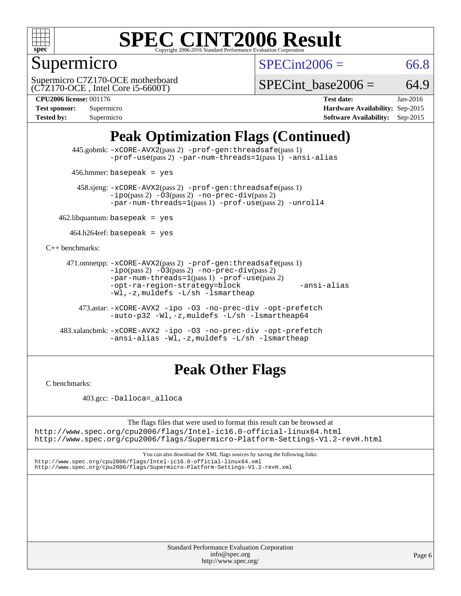

## Supermicro

 $SPECint2006 = 66.8$  $SPECint2006 = 66.8$ 

(C7Z170-OCE , Intel Core i5-6600T) Supermicro C7Z170-OCE motherboard

SPECint base2006 =  $64.9$ 

| <b>Test sponsor:</b> | Supermicro |
|----------------------|------------|
| <b>Tested by:</b>    | Supermicro |

**[CPU2006 license:](http://www.spec.org/auto/cpu2006/Docs/result-fields.html#CPU2006license)** 001176 **[Test date:](http://www.spec.org/auto/cpu2006/Docs/result-fields.html#Testdate)** Jan-2016 **[Hardware Availability:](http://www.spec.org/auto/cpu2006/Docs/result-fields.html#HardwareAvailability)** Sep-2015 **[Software Availability:](http://www.spec.org/auto/cpu2006/Docs/result-fields.html#SoftwareAvailability)** Sep-2015

## **[Peak Optimization Flags \(Continued\)](http://www.spec.org/auto/cpu2006/Docs/result-fields.html#PeakOptimizationFlags)**

 445.gobmk: [-xCORE-AVX2](http://www.spec.org/cpu2006/results/res2016q1/cpu2006-20160111-38640.flags.html#user_peakPASS2_CFLAGSPASS2_LDCFLAGS445_gobmk_f-xAVX2_5f5fc0cbe2c9f62c816d3e45806c70d7)(pass 2) [-prof-gen:threadsafe](http://www.spec.org/cpu2006/results/res2016q1/cpu2006-20160111-38640.flags.html#user_peakPASS1_CFLAGSPASS1_LDCFLAGS445_gobmk_prof_gen_21a26eb79f378b550acd7bec9fe4467a)(pass 1) [-prof-use](http://www.spec.org/cpu2006/results/res2016q1/cpu2006-20160111-38640.flags.html#user_peakPASS2_CFLAGSPASS2_LDCFLAGS445_gobmk_prof_use_bccf7792157ff70d64e32fe3e1250b55)(pass 2) [-par-num-threads=1](http://www.spec.org/cpu2006/results/res2016q1/cpu2006-20160111-38640.flags.html#user_peakPASS1_CFLAGSPASS1_LDCFLAGS445_gobmk_par_num_threads_786a6ff141b4e9e90432e998842df6c2)(pass 1) [-ansi-alias](http://www.spec.org/cpu2006/results/res2016q1/cpu2006-20160111-38640.flags.html#user_peakCOPTIMIZE445_gobmk_f-ansi-alias)

456.hmmer: basepeak = yes

 458.sjeng: [-xCORE-AVX2](http://www.spec.org/cpu2006/results/res2016q1/cpu2006-20160111-38640.flags.html#user_peakPASS2_CFLAGSPASS2_LDCFLAGS458_sjeng_f-xAVX2_5f5fc0cbe2c9f62c816d3e45806c70d7)(pass 2) [-prof-gen:threadsafe](http://www.spec.org/cpu2006/results/res2016q1/cpu2006-20160111-38640.flags.html#user_peakPASS1_CFLAGSPASS1_LDCFLAGS458_sjeng_prof_gen_21a26eb79f378b550acd7bec9fe4467a)(pass 1)  $-ipo(pass 2) -\overline{03(pass 2)}$  $-ipo(pass 2) -\overline{03(pass 2)}$  [-no-prec-div](http://www.spec.org/cpu2006/results/res2016q1/cpu2006-20160111-38640.flags.html#user_peakPASS2_CFLAGSPASS2_LDCFLAGS458_sjeng_f-no-prec-div)(pass 2) [-par-num-threads=1](http://www.spec.org/cpu2006/results/res2016q1/cpu2006-20160111-38640.flags.html#user_peakPASS1_CFLAGSPASS1_LDCFLAGS458_sjeng_par_num_threads_786a6ff141b4e9e90432e998842df6c2)(pass 1) [-prof-use](http://www.spec.org/cpu2006/results/res2016q1/cpu2006-20160111-38640.flags.html#user_peakPASS2_CFLAGSPASS2_LDCFLAGS458_sjeng_prof_use_bccf7792157ff70d64e32fe3e1250b55)(pass 2) [-unroll4](http://www.spec.org/cpu2006/results/res2016q1/cpu2006-20160111-38640.flags.html#user_peakCOPTIMIZE458_sjeng_f-unroll_4e5e4ed65b7fd20bdcd365bec371b81f)

 $462$ .libquantum: basepeak = yes

 $464.h264$ ref: basepeak = yes

[C++ benchmarks:](http://www.spec.org/auto/cpu2006/Docs/result-fields.html#CXXbenchmarks)

```
 471.omnetpp: -xCORE-AVX2(pass 2) -prof-gen:threadsafe(pass 1)
          -i\text{po}(pass 2) -03(pass 2) -no-prec-div(pass 2)-par-num-threads=1(pass 1) -prof-use(pass 2)
          -opt-ra-region-strategy=block -ansi-alias
          -Wl,-z,muldefs -L/sh -lsmartheap
```
 473.astar: [-xCORE-AVX2](http://www.spec.org/cpu2006/results/res2016q1/cpu2006-20160111-38640.flags.html#user_peakCXXOPTIMIZE473_astar_f-xAVX2_5f5fc0cbe2c9f62c816d3e45806c70d7) [-ipo](http://www.spec.org/cpu2006/results/res2016q1/cpu2006-20160111-38640.flags.html#user_peakCXXOPTIMIZE473_astar_f-ipo) [-O3](http://www.spec.org/cpu2006/results/res2016q1/cpu2006-20160111-38640.flags.html#user_peakCXXOPTIMIZE473_astar_f-O3) [-no-prec-div](http://www.spec.org/cpu2006/results/res2016q1/cpu2006-20160111-38640.flags.html#user_peakCXXOPTIMIZE473_astar_f-no-prec-div) [-opt-prefetch](http://www.spec.org/cpu2006/results/res2016q1/cpu2006-20160111-38640.flags.html#user_peakCXXOPTIMIZE473_astar_f-opt-prefetch) [-auto-p32](http://www.spec.org/cpu2006/results/res2016q1/cpu2006-20160111-38640.flags.html#user_peakCXXOPTIMIZE473_astar_f-auto-p32) [-Wl,-z,muldefs](http://www.spec.org/cpu2006/results/res2016q1/cpu2006-20160111-38640.flags.html#user_peakEXTRA_LDFLAGS473_astar_link_force_multiple1_74079c344b956b9658436fd1b6dd3a8a) [-L/sh -lsmartheap64](http://www.spec.org/cpu2006/results/res2016q1/cpu2006-20160111-38640.flags.html#user_peakEXTRA_LIBS473_astar_SmartHeap64_ed4ef857ce90951921efb0d91eb88472)

 483.xalancbmk: [-xCORE-AVX2](http://www.spec.org/cpu2006/results/res2016q1/cpu2006-20160111-38640.flags.html#user_peakCXXOPTIMIZE483_xalancbmk_f-xAVX2_5f5fc0cbe2c9f62c816d3e45806c70d7) [-ipo](http://www.spec.org/cpu2006/results/res2016q1/cpu2006-20160111-38640.flags.html#user_peakCXXOPTIMIZE483_xalancbmk_f-ipo) [-O3](http://www.spec.org/cpu2006/results/res2016q1/cpu2006-20160111-38640.flags.html#user_peakCXXOPTIMIZE483_xalancbmk_f-O3) [-no-prec-div](http://www.spec.org/cpu2006/results/res2016q1/cpu2006-20160111-38640.flags.html#user_peakCXXOPTIMIZE483_xalancbmk_f-no-prec-div) [-opt-prefetch](http://www.spec.org/cpu2006/results/res2016q1/cpu2006-20160111-38640.flags.html#user_peakCXXOPTIMIZE483_xalancbmk_f-opt-prefetch) [-ansi-alias](http://www.spec.org/cpu2006/results/res2016q1/cpu2006-20160111-38640.flags.html#user_peakCXXOPTIMIZE483_xalancbmk_f-ansi-alias) [-Wl,-z,muldefs](http://www.spec.org/cpu2006/results/res2016q1/cpu2006-20160111-38640.flags.html#user_peakEXTRA_LDFLAGS483_xalancbmk_link_force_multiple1_74079c344b956b9658436fd1b6dd3a8a) [-L/sh -lsmartheap](http://www.spec.org/cpu2006/results/res2016q1/cpu2006-20160111-38640.flags.html#user_peakEXTRA_LIBS483_xalancbmk_SmartHeap_32f6c82aa1ed9c52345d30cf6e4a0499)

### **[Peak Other Flags](http://www.spec.org/auto/cpu2006/Docs/result-fields.html#PeakOtherFlags)**

[C benchmarks](http://www.spec.org/auto/cpu2006/Docs/result-fields.html#Cbenchmarks):

403.gcc: [-Dalloca=\\_alloca](http://www.spec.org/cpu2006/results/res2016q1/cpu2006-20160111-38640.flags.html#b403.gcc_peakEXTRA_CFLAGS_Dalloca_be3056838c12de2578596ca5467af7f3)

The flags files that were used to format this result can be browsed at <http://www.spec.org/cpu2006/flags/Intel-ic16.0-official-linux64.html>

<http://www.spec.org/cpu2006/flags/Supermicro-Platform-Settings-V1.2-revH.html>

You can also download the XML flags sources by saving the following links: <http://www.spec.org/cpu2006/flags/Intel-ic16.0-official-linux64.xml> <http://www.spec.org/cpu2006/flags/Supermicro-Platform-Settings-V1.2-revH.xml>